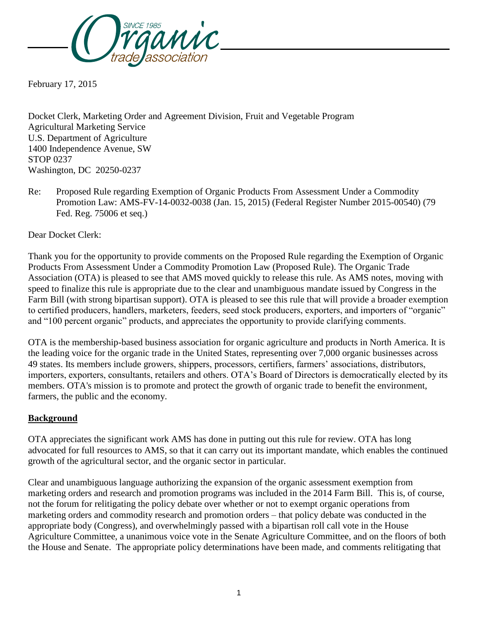

February 17, 2015

Docket Clerk, Marketing Order and Agreement Division, Fruit and Vegetable Program Agricultural Marketing Service U.S. Department of Agriculture 1400 Independence Avenue, SW STOP 0237 Washington, DC 20250-0237

Re: Proposed Rule regarding Exemption of Organic Products From Assessment Under a Commodity Promotion Law: AMS-FV-14-0032-0038 (Jan. 15, 2015) (Federal Register Number 2015-00540) (79 Fed. Reg. 75006 et seq.)

Dear Docket Clerk:

Thank you for the opportunity to provide comments on the Proposed Rule regarding the Exemption of Organic Products From Assessment Under a Commodity Promotion Law (Proposed Rule). The Organic Trade Association (OTA) is pleased to see that AMS moved quickly to release this rule. As AMS notes, moving with speed to finalize this rule is appropriate due to the clear and unambiguous mandate issued by Congress in the Farm Bill (with strong bipartisan support). OTA is pleased to see this rule that will provide a broader exemption to certified producers, handlers, marketers, feeders, seed stock producers, exporters, and importers of "organic" and "100 percent organic" products, and appreciates the opportunity to provide clarifying comments.

OTA is the membership-based business association for organic agriculture and products in North America. It is the leading voice for the organic trade in the United States, representing over 7,000 organic businesses across 49 states. Its members include growers, shippers, processors, certifiers, farmers' associations, distributors, importers, exporters, consultants, retailers and others. OTA's Board of Directors is democratically elected by its members. OTA's mission is to promote and protect the growth of organic trade to benefit the environment, farmers, the public and the economy.

### **Background**

OTA appreciates the significant work AMS has done in putting out this rule for review. OTA has long advocated for full resources to AMS, so that it can carry out its important mandate, which enables the continued growth of the agricultural sector, and the organic sector in particular.

Clear and unambiguous language authorizing the expansion of the organic assessment exemption from marketing orders and research and promotion programs was included in the 2014 Farm Bill. This is, of course, not the forum for relitigating the policy debate over whether or not to exempt organic operations from marketing orders and commodity research and promotion orders – that policy debate was conducted in the appropriate body (Congress), and overwhelmingly passed with a bipartisan roll call vote in the House Agriculture Committee, a unanimous voice vote in the Senate Agriculture Committee, and on the floors of both the House and Senate. The appropriate policy determinations have been made, and comments relitigating that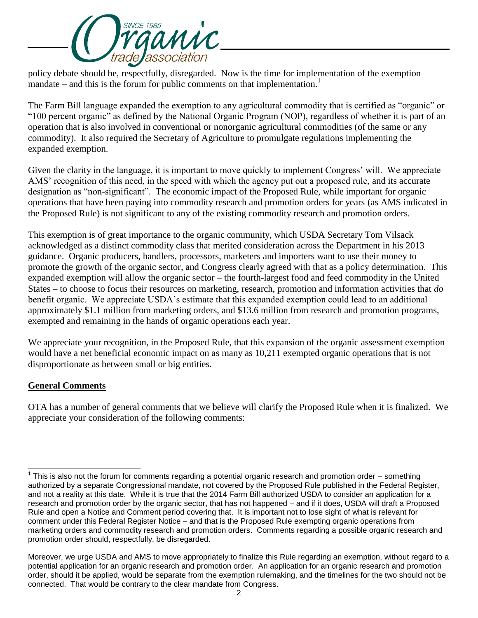

policy debate should be, respectfully, disregarded. Now is the time for implementation of the exemption mandate – and this is the forum for public comments on that implementation.<sup>1</sup>

The Farm Bill language expanded the exemption to any agricultural commodity that is certified as "organic" or "100 percent organic" as defined by the National Organic Program (NOP), regardless of whether it is part of an operation that is also involved in conventional or nonorganic agricultural commodities (of the same or any commodity). It also required the Secretary of Agriculture to promulgate regulations implementing the expanded exemption.

Given the clarity in the language, it is important to move quickly to implement Congress' will. We appreciate AMS' recognition of this need, in the speed with which the agency put out a proposed rule, and its accurate designation as "non-significant". The economic impact of the Proposed Rule, while important for organic operations that have been paying into commodity research and promotion orders for years (as AMS indicated in the Proposed Rule) is not significant to any of the existing commodity research and promotion orders.

This exemption is of great importance to the organic community, which USDA Secretary Tom Vilsack acknowledged as a distinct commodity class that merited consideration across the Department in his 2013 guidance. Organic producers, handlers, processors, marketers and importers want to use their money to promote the growth of the organic sector, and Congress clearly agreed with that as a policy determination. This expanded exemption will allow the organic sector – the fourth-largest food and feed commodity in the United States – to choose to focus their resources on marketing, research, promotion and information activities that *do* benefit organic. We appreciate USDA's estimate that this expanded exemption could lead to an additional approximately \$1.1 million from marketing orders, and \$13.6 million from research and promotion programs, exempted and remaining in the hands of organic operations each year.

We appreciate your recognition, in the Proposed Rule, that this expansion of the organic assessment exemption would have a net beneficial economic impact on as many as 10,211 exempted organic operations that is not disproportionate as between small or big entities.

### **General Comments**

OTA has a number of general comments that we believe will clarify the Proposed Rule when it is finalized. We appreciate your consideration of the following comments:

l  $1$  This is also not the forum for comments regarding a potential organic research and promotion order – something authorized by a separate Congressional mandate, not covered by the Proposed Rule published in the Federal Register, and not a reality at this date. While it is true that the 2014 Farm Bill authorized USDA to consider an application for a research and promotion order by the organic sector, that has not happened – and if it does, USDA will draft a Proposed Rule and open a Notice and Comment period covering that. It is important not to lose sight of what is relevant for comment under this Federal Register Notice – and that is the Proposed Rule exempting organic operations from marketing orders and commodity research and promotion orders. Comments regarding a possible organic research and promotion order should, respectfully, be disregarded.

Moreover, we urge USDA and AMS to move appropriately to finalize this Rule regarding an exemption, without regard to a potential application for an organic research and promotion order. An application for an organic research and promotion order, should it be applied, would be separate from the exemption rulemaking, and the timelines for the two should not be connected. That would be contrary to the clear mandate from Congress.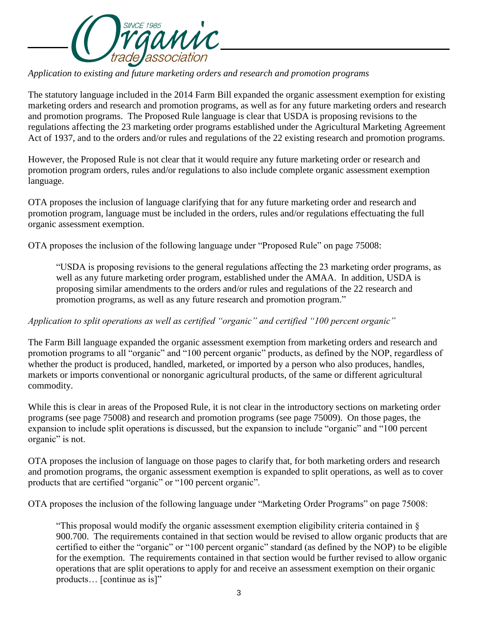

*Application to existing and future marketing orders and research and promotion programs*

The statutory language included in the 2014 Farm Bill expanded the organic assessment exemption for existing marketing orders and research and promotion programs, as well as for any future marketing orders and research and promotion programs. The Proposed Rule language is clear that USDA is proposing revisions to the regulations affecting the 23 marketing order programs established under the Agricultural Marketing Agreement Act of 1937, and to the orders and/or rules and regulations of the 22 existing research and promotion programs.

However, the Proposed Rule is not clear that it would require any future marketing order or research and promotion program orders, rules and/or regulations to also include complete organic assessment exemption language.

OTA proposes the inclusion of language clarifying that for any future marketing order and research and promotion program, language must be included in the orders, rules and/or regulations effectuating the full organic assessment exemption.

OTA proposes the inclusion of the following language under "Proposed Rule" on page 75008:

"USDA is proposing revisions to the general regulations affecting the 23 marketing order programs, as well as any future marketing order program, established under the AMAA. In addition, USDA is proposing similar amendments to the orders and/or rules and regulations of the 22 research and promotion programs, as well as any future research and promotion program."

### *Application to split operations as well as certified "organic" and certified "100 percent organic"*

The Farm Bill language expanded the organic assessment exemption from marketing orders and research and promotion programs to all "organic" and "100 percent organic" products, as defined by the NOP, regardless of whether the product is produced, handled, marketed, or imported by a person who also produces, handles, markets or imports conventional or nonorganic agricultural products, of the same or different agricultural commodity.

While this is clear in areas of the Proposed Rule, it is not clear in the introductory sections on marketing order programs (see page 75008) and research and promotion programs (see page 75009). On those pages, the expansion to include split operations is discussed, but the expansion to include "organic" and "100 percent organic" is not.

OTA proposes the inclusion of language on those pages to clarify that, for both marketing orders and research and promotion programs, the organic assessment exemption is expanded to split operations, as well as to cover products that are certified "organic" or "100 percent organic".

OTA proposes the inclusion of the following language under "Marketing Order Programs" on page 75008:

"This proposal would modify the organic assessment exemption eligibility criteria contained in § 900.700. The requirements contained in that section would be revised to allow organic products that are certified to either the "organic" or "100 percent organic" standard (as defined by the NOP) to be eligible for the exemption. The requirements contained in that section would be further revised to allow organic operations that are split operations to apply for and receive an assessment exemption on their organic products… [continue as is]"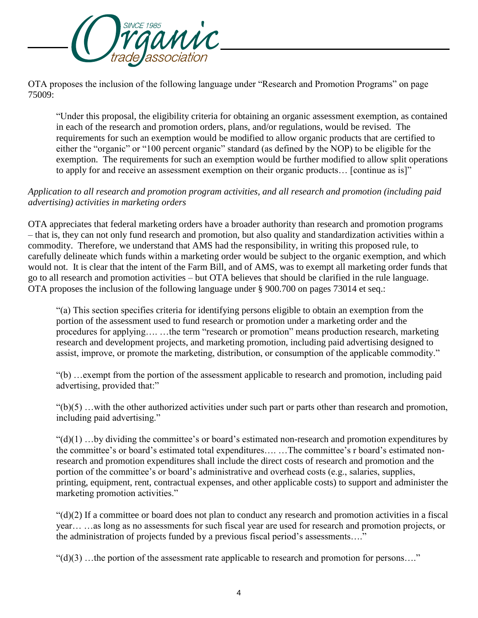

OTA proposes the inclusion of the following language under "Research and Promotion Programs" on page 75009:

"Under this proposal, the eligibility criteria for obtaining an organic assessment exemption, as contained in each of the research and promotion orders, plans, and/or regulations, would be revised. The requirements for such an exemption would be modified to allow organic products that are certified to either the "organic" or "100 percent organic" standard (as defined by the NOP) to be eligible for the exemption. The requirements for such an exemption would be further modified to allow split operations to apply for and receive an assessment exemption on their organic products… [continue as is]"

# *Application to all research and promotion program activities, and all research and promotion (including paid advertising) activities in marketing orders*

OTA appreciates that federal marketing orders have a broader authority than research and promotion programs – that is, they can not only fund research and promotion, but also quality and standardization activities within a commodity. Therefore, we understand that AMS had the responsibility, in writing this proposed rule, to carefully delineate which funds within a marketing order would be subject to the organic exemption, and which would not. It is clear that the intent of the Farm Bill, and of AMS, was to exempt all marketing order funds that go to all research and promotion activities – but OTA believes that should be clarified in the rule language. OTA proposes the inclusion of the following language under § 900.700 on pages 73014 et seq.:

"(a) This section specifies criteria for identifying persons eligible to obtain an exemption from the portion of the assessment used to fund research or promotion under a marketing order and the procedures for applying…. …the term "research or promotion" means production research, marketing research and development projects, and marketing promotion, including paid advertising designed to assist, improve, or promote the marketing, distribution, or consumption of the applicable commodity."

"(b) …exempt from the portion of the assessment applicable to research and promotion, including paid advertising, provided that:"

 $"(b)(5)$  ... with the other authorized activities under such part or parts other than research and promotion, including paid advertising."

 $((d)(1)$ ...by dividing the committee's or board's estimated non-research and promotion expenditures by the committee's or board's estimated total expenditures…. …The committee's r board's estimated nonresearch and promotion expenditures shall include the direct costs of research and promotion and the portion of the committee's or board's administrative and overhead costs (e.g., salaries, supplies, printing, equipment, rent, contractual expenses, and other applicable costs) to support and administer the marketing promotion activities."

 $"(d)(2)$  If a committee or board does not plan to conduct any research and promotion activities in a fiscal year… …as long as no assessments for such fiscal year are used for research and promotion projects, or the administration of projects funded by a previous fiscal period's assessments…."

 $"(d)(3)$  ...the portion of the assessment rate applicable to research and promotion for persons...."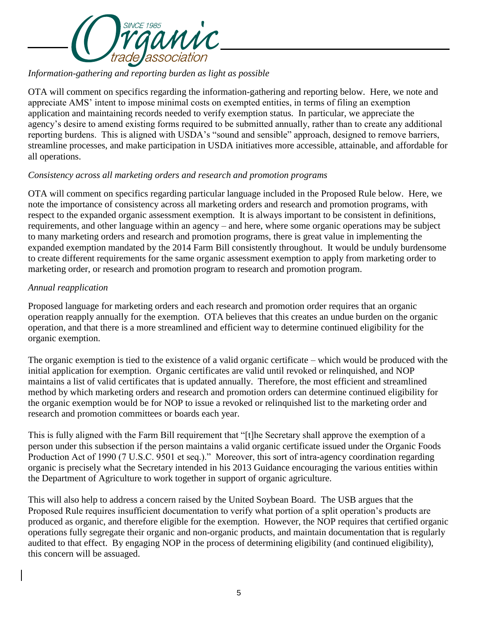

## *Information-gathering and reporting burden as light as possible*

OTA will comment on specifics regarding the information-gathering and reporting below. Here, we note and appreciate AMS' intent to impose minimal costs on exempted entities, in terms of filing an exemption application and maintaining records needed to verify exemption status. In particular, we appreciate the agency's desire to amend existing forms required to be submitted annually, rather than to create any additional reporting burdens. This is aligned with USDA's "sound and sensible" approach, designed to remove barriers, streamline processes, and make participation in USDA initiatives more accessible, attainable, and affordable for all operations.

### *Consistency across all marketing orders and research and promotion programs*

OTA will comment on specifics regarding particular language included in the Proposed Rule below. Here, we note the importance of consistency across all marketing orders and research and promotion programs, with respect to the expanded organic assessment exemption. It is always important to be consistent in definitions, requirements, and other language within an agency – and here, where some organic operations may be subject to many marketing orders and research and promotion programs, there is great value in implementing the expanded exemption mandated by the 2014 Farm Bill consistently throughout. It would be unduly burdensome to create different requirements for the same organic assessment exemption to apply from marketing order to marketing order, or research and promotion program to research and promotion program.

#### *Annual reapplication*

Proposed language for marketing orders and each research and promotion order requires that an organic operation reapply annually for the exemption. OTA believes that this creates an undue burden on the organic operation, and that there is a more streamlined and efficient way to determine continued eligibility for the organic exemption.

The organic exemption is tied to the existence of a valid organic certificate – which would be produced with the initial application for exemption. Organic certificates are valid until revoked or relinquished, and NOP maintains a list of valid certificates that is updated annually. Therefore, the most efficient and streamlined method by which marketing orders and research and promotion orders can determine continued eligibility for the organic exemption would be for NOP to issue a revoked or relinquished list to the marketing order and research and promotion committees or boards each year.

This is fully aligned with the Farm Bill requirement that "[t]he Secretary shall approve the exemption of a person under this subsection if the person maintains a valid organic certificate issued under the Organic Foods Production Act of 1990 (7 U.S.C. 9501 et seq.)." Moreover, this sort of intra-agency coordination regarding organic is precisely what the Secretary intended in his 2013 Guidance encouraging the various entities within the Department of Agriculture to work together in support of organic agriculture.

This will also help to address a concern raised by the United Soybean Board. The USB argues that the Proposed Rule requires insufficient documentation to verify what portion of a split operation's products are produced as organic, and therefore eligible for the exemption. However, the NOP requires that certified organic operations fully segregate their organic and non-organic products, and maintain documentation that is regularly audited to that effect. By engaging NOP in the process of determining eligibility (and continued eligibility), this concern will be assuaged.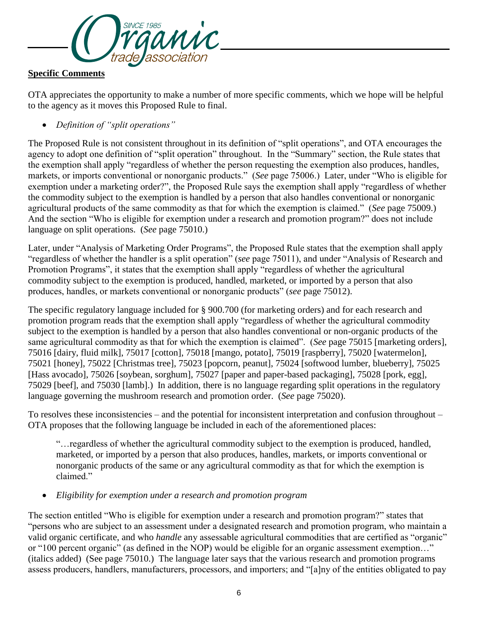

# **Specific Comments**

OTA appreciates the opportunity to make a number of more specific comments, which we hope will be helpful to the agency as it moves this Proposed Rule to final.

*Definition of "split operations"*

The Proposed Rule is not consistent throughout in its definition of "split operations", and OTA encourages the agency to adopt one definition of "split operation" throughout. In the "Summary" section, the Rule states that the exemption shall apply "regardless of whether the person requesting the exemption also produces, handles, markets, or imports conventional or nonorganic products." (*See* page 75006.) Later, under "Who is eligible for exemption under a marketing order?", the Proposed Rule says the exemption shall apply "regardless of whether the commodity subject to the exemption is handled by a person that also handles conventional or nonorganic agricultural products of the same commodity as that for which the exemption is claimed." (*See* page 75009.) And the section "Who is eligible for exemption under a research and promotion program?" does not include language on split operations. (*See* page 75010.)

Later, under "Analysis of Marketing Order Programs", the Proposed Rule states that the exemption shall apply "regardless of whether the handler is a split operation" (*see* page 75011), and under "Analysis of Research and Promotion Programs", it states that the exemption shall apply "regardless of whether the agricultural commodity subject to the exemption is produced, handled, marketed, or imported by a person that also produces, handles, or markets conventional or nonorganic products" (*see* page 75012).

The specific regulatory language included for § 900.700 (for marketing orders) and for each research and promotion program reads that the exemption shall apply "regardless of whether the agricultural commodity subject to the exemption is handled by a person that also handles conventional or non-organic products of the same agricultural commodity as that for which the exemption is claimed". (*See* page 75015 [marketing orders], 75016 [dairy, fluid milk], 75017 [cotton], 75018 [mango, potato], 75019 [raspberry], 75020 [watermelon], 75021 [honey], 75022 [Christmas tree], 75023 [popcorn, peanut], 75024 [softwood lumber, blueberry], 75025 [Hass avocado], 75026 [soybean, sorghum], 75027 [paper and paper-based packaging], 75028 [pork, egg], 75029 [beef], and 75030 [lamb].) In addition, there is no language regarding split operations in the regulatory language governing the mushroom research and promotion order. (*See* page 75020).

To resolves these inconsistencies – and the potential for inconsistent interpretation and confusion throughout – OTA proposes that the following language be included in each of the aforementioned places:

"…regardless of whether the agricultural commodity subject to the exemption is produced, handled, marketed, or imported by a person that also produces, handles, markets, or imports conventional or nonorganic products of the same or any agricultural commodity as that for which the exemption is claimed."

### *Eligibility for exemption under a research and promotion program*

The section entitled "Who is eligible for exemption under a research and promotion program?" states that "persons who are subject to an assessment under a designated research and promotion program, who maintain a valid organic certificate, and who *handle* any assessable agricultural commodities that are certified as "organic" or "100 percent organic" (as defined in the NOP) would be eligible for an organic assessment exemption…" (italics added) (See page 75010.) The language later says that the various research and promotion programs assess producers, handlers, manufacturers, processors, and importers; and "[a]ny of the entities obligated to pay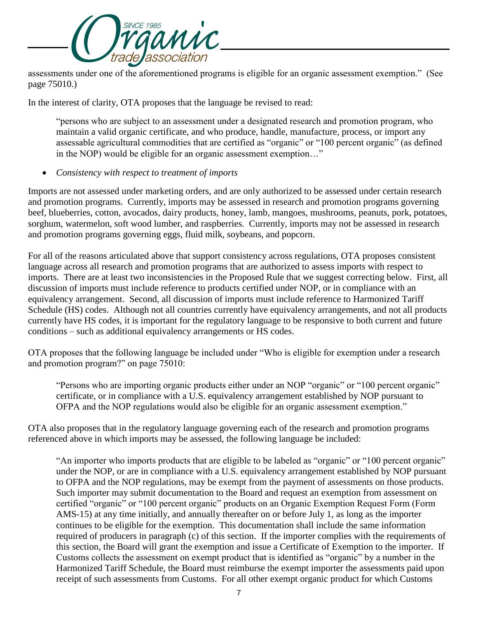

assessments under one of the aforementioned programs is eligible for an organic assessment exemption." (See page 75010.)

In the interest of clarity, OTA proposes that the language be revised to read:

"persons who are subject to an assessment under a designated research and promotion program, who maintain a valid organic certificate, and who produce, handle, manufacture, process, or import any assessable agricultural commodities that are certified as "organic" or "100 percent organic" (as defined in the NOP) would be eligible for an organic assessment exemption…"

*Consistency with respect to treatment of imports*

Imports are not assessed under marketing orders, and are only authorized to be assessed under certain research and promotion programs. Currently, imports may be assessed in research and promotion programs governing beef, blueberries, cotton, avocados, dairy products, honey, lamb, mangoes, mushrooms, peanuts, pork, potatoes, sorghum, watermelon, soft wood lumber, and raspberries. Currently, imports may not be assessed in research and promotion programs governing eggs, fluid milk, soybeans, and popcorn.

For all of the reasons articulated above that support consistency across regulations, OTA proposes consistent language across all research and promotion programs that are authorized to assess imports with respect to imports. There are at least two inconsistencies in the Proposed Rule that we suggest correcting below. First, all discussion of imports must include reference to products certified under NOP, or in compliance with an equivalency arrangement. Second, all discussion of imports must include reference to Harmonized Tariff Schedule (HS) codes. Although not all countries currently have equivalency arrangements, and not all products currently have HS codes, it is important for the regulatory language to be responsive to both current and future conditions – such as additional equivalency arrangements or HS codes.

OTA proposes that the following language be included under "Who is eligible for exemption under a research and promotion program?" on page 75010:

"Persons who are importing organic products either under an NOP "organic" or "100 percent organic" certificate, or in compliance with a U.S. equivalency arrangement established by NOP pursuant to OFPA and the NOP regulations would also be eligible for an organic assessment exemption."

OTA also proposes that in the regulatory language governing each of the research and promotion programs referenced above in which imports may be assessed, the following language be included:

"An importer who imports products that are eligible to be labeled as "organic" or "100 percent organic" under the NOP, or are in compliance with a U.S. equivalency arrangement established by NOP pursuant to OFPA and the NOP regulations, may be exempt from the payment of assessments on those products. Such importer may submit documentation to the Board and request an exemption from assessment on certified "organic" or "100 percent organic" products on an Organic Exemption Request Form (Form AMS-15) at any time initially, and annually thereafter on or before July 1, as long as the importer continues to be eligible for the exemption. This documentation shall include the same information required of producers in paragraph (c) of this section. If the importer complies with the requirements of this section, the Board will grant the exemption and issue a Certificate of Exemption to the importer. If Customs collects the assessment on exempt product that is identified as "organic" by a number in the Harmonized Tariff Schedule, the Board must reimburse the exempt importer the assessments paid upon receipt of such assessments from Customs. For all other exempt organic product for which Customs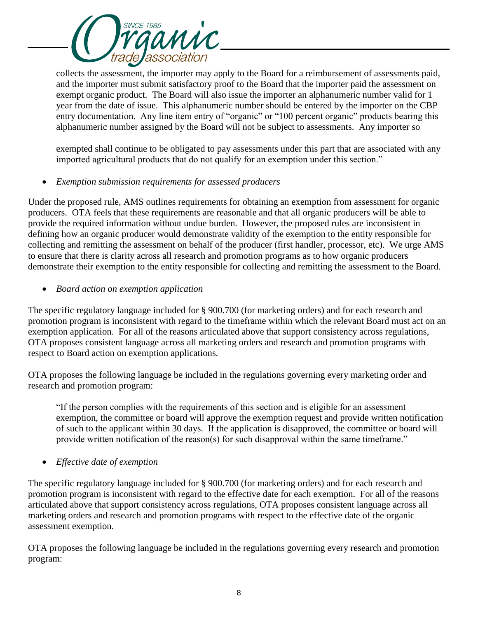**SINCE 1985** inic association

collects the assessment, the importer may apply to the Board for a reimbursement of assessments paid, and the importer must submit satisfactory proof to the Board that the importer paid the assessment on exempt organic product. The Board will also issue the importer an alphanumeric number valid for 1 year from the date of issue. This alphanumeric number should be entered by the importer on the CBP entry documentation. Any line item entry of "organic" or "100 percent organic" products bearing this alphanumeric number assigned by the Board will not be subject to assessments. Any importer so

exempted shall continue to be obligated to pay assessments under this part that are associated with any imported agricultural products that do not qualify for an exemption under this section."

*Exemption submission requirements for assessed producers*

Under the proposed rule, AMS outlines requirements for obtaining an exemption from assessment for organic producers. OTA feels that these requirements are reasonable and that all organic producers will be able to provide the required information without undue burden. However, the proposed rules are inconsistent in defining how an organic producer would demonstrate validity of the exemption to the entity responsible for collecting and remitting the assessment on behalf of the producer (first handler, processor, etc). We urge AMS to ensure that there is clarity across all research and promotion programs as to how organic producers demonstrate their exemption to the entity responsible for collecting and remitting the assessment to the Board.

*Board action on exemption application*

The specific regulatory language included for § 900.700 (for marketing orders) and for each research and promotion program is inconsistent with regard to the timeframe within which the relevant Board must act on an exemption application. For all of the reasons articulated above that support consistency across regulations, OTA proposes consistent language across all marketing orders and research and promotion programs with respect to Board action on exemption applications.

OTA proposes the following language be included in the regulations governing every marketing order and research and promotion program:

"If the person complies with the requirements of this section and is eligible for an assessment exemption, the committee or board will approve the exemption request and provide written notification of such to the applicant within 30 days. If the application is disapproved, the committee or board will provide written notification of the reason(s) for such disapproval within the same timeframe."

*Effective date of exemption*

The specific regulatory language included for § 900.700 (for marketing orders) and for each research and promotion program is inconsistent with regard to the effective date for each exemption. For all of the reasons articulated above that support consistency across regulations, OTA proposes consistent language across all marketing orders and research and promotion programs with respect to the effective date of the organic assessment exemption.

OTA proposes the following language be included in the regulations governing every research and promotion program: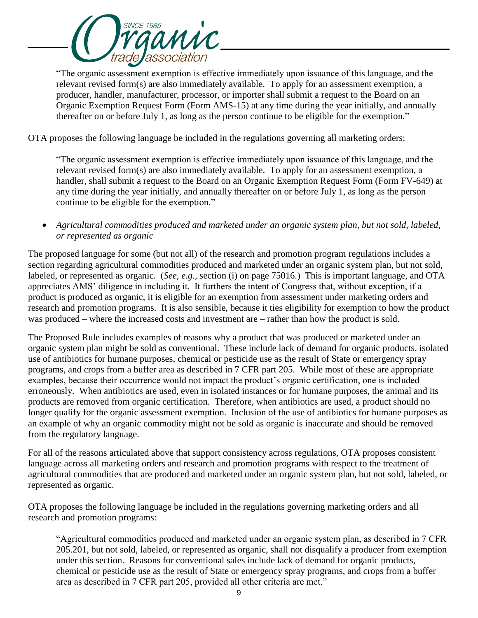

"The organic assessment exemption is effective immediately upon issuance of this language, and the relevant revised form(s) are also immediately available. To apply for an assessment exemption, a producer, handler, manufacturer, processor, or importer shall submit a request to the Board on an Organic Exemption Request Form (Form AMS-15) at any time during the year initially, and annually thereafter on or before July 1, as long as the person continue to be eligible for the exemption."

OTA proposes the following language be included in the regulations governing all marketing orders:

"The organic assessment exemption is effective immediately upon issuance of this language, and the relevant revised form(s) are also immediately available. To apply for an assessment exemption, a handler, shall submit a request to the Board on an Organic Exemption Request Form (Form FV-649) at any time during the year initially, and annually thereafter on or before July 1, as long as the person continue to be eligible for the exemption."

 *Agricultural commodities produced and marketed under an organic system plan, but not sold, labeled, or represented as organic*

The proposed language for some (but not all) of the research and promotion program regulations includes a section regarding agricultural commodities produced and marketed under an organic system plan, but not sold, labeled, or represented as organic. (*See, e.g.,* section (i) on page 75016.) This is important language, and OTA appreciates AMS' diligence in including it. It furthers the intent of Congress that, without exception, if a product is produced as organic, it is eligible for an exemption from assessment under marketing orders and research and promotion programs. It is also sensible, because it ties eligibility for exemption to how the product was produced – where the increased costs and investment are – rather than how the product is sold.

The Proposed Rule includes examples of reasons why a product that was produced or marketed under an organic system plan might be sold as conventional. These include lack of demand for organic products, isolated use of antibiotics for humane purposes, chemical or pesticide use as the result of State or emergency spray programs, and crops from a buffer area as described in 7 CFR part 205. While most of these are appropriate examples, because their occurrence would not impact the product's organic certification, one is included erroneously. When antibiotics are used, even in isolated instances or for humane purposes, the animal and its products are removed from organic certification. Therefore, when antibiotics are used, a product should no longer qualify for the organic assessment exemption. Inclusion of the use of antibiotics for humane purposes as an example of why an organic commodity might not be sold as organic is inaccurate and should be removed from the regulatory language.

For all of the reasons articulated above that support consistency across regulations, OTA proposes consistent language across all marketing orders and research and promotion programs with respect to the treatment of agricultural commodities that are produced and marketed under an organic system plan, but not sold, labeled, or represented as organic.

OTA proposes the following language be included in the regulations governing marketing orders and all research and promotion programs:

"Agricultural commodities produced and marketed under an organic system plan, as described in 7 CFR 205.201, but not sold, labeled, or represented as organic, shall not disqualify a producer from exemption under this section. Reasons for conventional sales include lack of demand for organic products, chemical or pesticide use as the result of State or emergency spray programs, and crops from a buffer area as described in 7 CFR part 205, provided all other criteria are met."